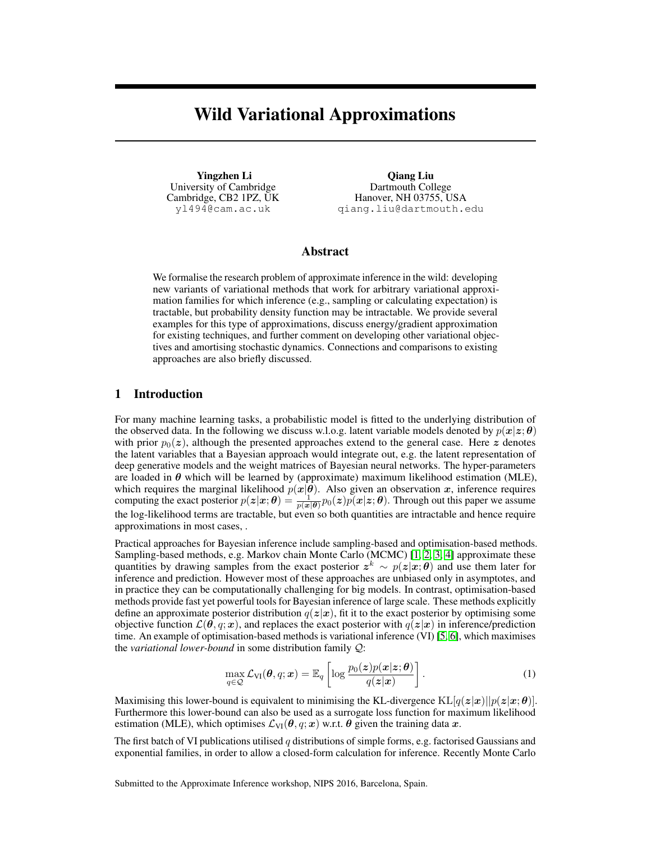# Wild Variational Approximations

Yingzhen Li University of Cambridge Cambridge, CB2 1PZ, UK yl494@cam.ac.uk

Qiang Liu Dartmouth College Hanover, NH 03755, USA qiang.liu@dartmouth.edu

# Abstract

We formalise the research problem of approximate inference in the wild: developing new variants of variational methods that work for arbitrary variational approximation families for which inference (e.g., sampling or calculating expectation) is tractable, but probability density function may be intractable. We provide several examples for this type of approximations, discuss energy/gradient approximation for existing techniques, and further comment on developing other variational objectives and amortising stochastic dynamics. Connections and comparisons to existing approaches are also briefly discussed.

## 1 Introduction

For many machine learning tasks, a probabilistic model is fitted to the underlying distribution of the observed data. In the following we discuss w.l.o.g. latent variable models denoted by  $p(x|z; \theta)$ with prior  $p_0(z)$ , although the presented approaches extend to the general case. Here z denotes the latent variables that a Bayesian approach would integrate out, e.g. the latent representation of deep generative models and the weight matrices of Bayesian neural networks. The hyper-parameters are loaded in  $\theta$  which will be learned by (approximate) maximum likelihood estimation (MLE), which requires the marginal likelihood  $p(x|\theta)$ . Also given an observation x, inference requires computing the exact posterior  $p(z|x;\theta) = \frac{1}{p(x|\theta)} p_0(z)p(x|z;\theta)$ . Through out this paper we assume the log-likelihood terms are tractable, but even so both quantities are intractable and hence require approximations in most cases, .

Practical approaches for Bayesian inference include sampling-based and optimisation-based methods. Sampling-based methods, e.g. Markov chain Monte Carlo (MCMC) [\[1,](#page-3-0) [2,](#page-3-1) [3,](#page-3-2) [4\]](#page-4-0) approximate these quantities by drawing samples from the exact posterior  $z^k \sim p(z|x;\theta)$  and use them later for inference and prediction. However most of these approaches are unbiased only in asymptotes, and in practice they can be computationally challenging for big models. In contrast, optimisation-based methods provide fast yet powerful tools for Bayesian inference of large scale. These methods explicitly define an approximate posterior distribution  $q(z|x)$ , fit it to the exact posterior by optimising some objective function  $\mathcal{L}(\theta, q; \mathbf{x})$ , and replaces the exact posterior with  $q(\mathbf{z}|\mathbf{x})$  in inference/prediction time. An example of optimisation-based methods is variational inference (VI) [\[5,](#page-4-1) [6\]](#page-4-2), which maximises the *variational lower-bound* in some distribution family Q:

$$
\max_{q \in \mathcal{Q}} \mathcal{L}_{\text{VI}}(\boldsymbol{\theta}, q; \boldsymbol{x}) = \mathbb{E}_q \left[ \log \frac{p_0(\boldsymbol{z}) p(\boldsymbol{x} | \boldsymbol{z}; \boldsymbol{\theta})}{q(\boldsymbol{z} | \boldsymbol{x})} \right]. \tag{1}
$$

Maximising this lower-bound is equivalent to minimising the KL-divergence  $KL[q(z|x)||p(z|x;\theta)].$ Furthermore this lower-bound can also be used as a surrogate loss function for maximum likelihood estimation (MLE), which optimises  $\mathcal{L}_{VI}(\theta, q; x)$  w.r.t.  $\theta$  given the training data x.

The first batch of VI publications utilised q distributions of simple forms, e.g. factorised Gaussians and exponential families, in order to allow a closed-form calculation for inference. Recently Monte Carlo

Submitted to the Approximate Inference workshop, NIPS 2016, Barcelona, Spain.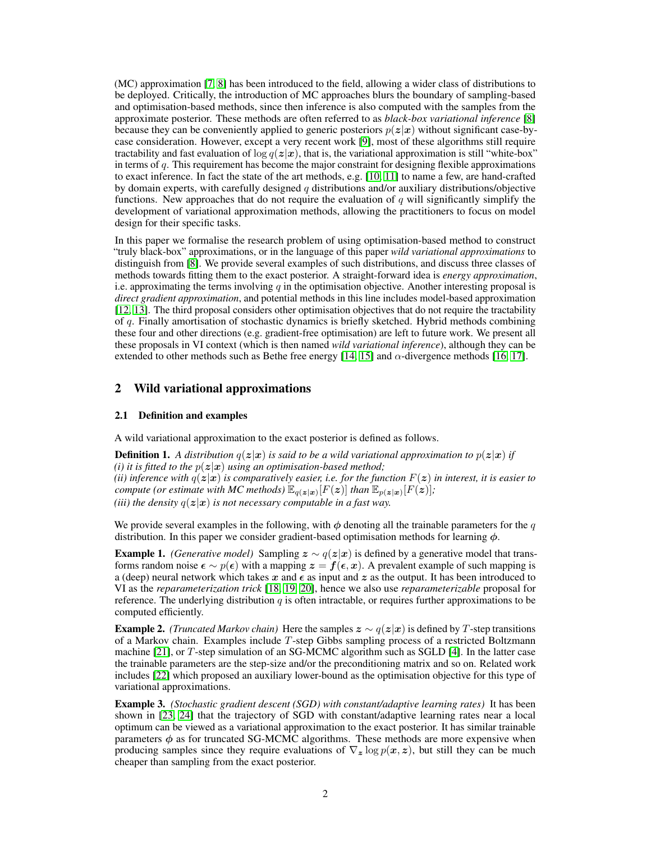(MC) approximation [\[7,](#page-4-3) [8\]](#page-4-4) has been introduced to the field, allowing a wider class of distributions to be deployed. Critically, the introduction of MC approaches blurs the boundary of sampling-based and optimisation-based methods, since then inference is also computed with the samples from the approximate posterior. These methods are often referred to as *black-box variational inference* [\[8\]](#page-4-4) because they can be conveniently applied to generic posteriors  $p(z|x)$  without significant case-bycase consideration. However, except a very recent work [\[9\]](#page-4-5), most of these algorithms still require tractability and fast evaluation of  $\log q(z|x)$ , that is, the variational approximation is still "white-box" in terms of  $q$ . This requirement has become the major constraint for designing flexible approximations to exact inference. In fact the state of the art methods, e.g. [\[10,](#page-4-6) [11\]](#page-4-7) to name a few, are hand-crafted by domain experts, with carefully designed q distributions and/or auxiliary distributions/objective functions. New approaches that do not require the evaluation of  $q$  will significantly simplify the development of variational approximation methods, allowing the practitioners to focus on model design for their specific tasks.

In this paper we formalise the research problem of using optimisation-based method to construct "truly black-box" approximations, or in the language of this paper *wild variational approximations* to distinguish from [\[8\]](#page-4-4). We provide several examples of such distributions, and discuss three classes of methods towards fitting them to the exact posterior. A straight-forward idea is *energy approximation*, i.e. approximating the terms involving  $q$  in the optimisation objective. Another interesting proposal is *direct gradient approximation*, and potential methods in this line includes model-based approximation [\[12,](#page-4-8) [13\]](#page-4-9). The third proposal considers other optimisation objectives that do not require the tractability of q. Finally amortisation of stochastic dynamics is briefly sketched. Hybrid methods combining these four and other directions (e.g. gradient-free optimisation) are left to future work. We present all these proposals in VI context (which is then named *wild variational inference*), although they can be extended to other methods such as Bethe free energy [\[14,](#page-4-10) [15\]](#page-4-11) and  $\alpha$ -divergence methods [\[16,](#page-4-12) [17\]](#page-4-13).

## 2 Wild variational approximations

#### 2.1 Definition and examples

A wild variational approximation to the exact posterior is defined as follows.

**Definition 1.** A distribution  $q(z|x)$  is said to be a wild variational approximation to  $p(z|x)$  if *(i) it is fitted to the*  $p(z|x)$  *using an optimisation-based method; (ii) inference with*  $q(z|x)$  *is comparatively easier, i.e. for the function*  $F(z)$  *in interest, it is easier to compute (or estimate with MC methods)*  $\mathbb{E}_{q(\boldsymbol{z}|\boldsymbol{x})}[F(\boldsymbol{z})]$  *than*  $\mathbb{E}_{p(\boldsymbol{z}|\boldsymbol{x})}[F(\boldsymbol{z})]$ ; *(iii) the density*  $q(z|x)$  *is not necessary computable in a fast way.* 

We provide several examples in the following, with  $\phi$  denoting all the trainable parameters for the q distribution. In this paper we consider gradient-based optimisation methods for learning  $\phi$ .

<span id="page-1-0"></span>**Example 1.** *(Generative model)* Sampling  $z \sim q(z|x)$  is defined by a generative model that transforms random noise  $\epsilon \sim p(\epsilon)$  with a mapping  $z = f(\epsilon, x)$ . A prevalent example of such mapping is a (deep) neural network which takes x and  $\epsilon$  as input and z as the output. It has been introduced to VI as the *reparameterization trick* [\[18,](#page-4-14) [19,](#page-4-15) [20\]](#page-4-16), hence we also use *reparameterizable* proposal for reference. The underlying distribution  $q$  is often intractable, or requires further approximations to be computed efficiently.

**Example 2.** *(Truncated Markov chain)* Here the samples  $z \sim q(z|x)$  is defined by T-step transitions of a Markov chain. Examples include T-step Gibbs sampling process of a restricted Boltzmann machine [\[21\]](#page-4-17), or T-step simulation of an SG-MCMC algorithm such as SGLD [\[4\]](#page-4-0). In the latter case the trainable parameters are the step-size and/or the preconditioning matrix and so on. Related work includes [\[22\]](#page-4-18) which proposed an auxiliary lower-bound as the optimisation objective for this type of variational approximations.

Example 3. *(Stochastic gradient descent (SGD) with constant/adaptive learning rates)* It has been shown in [\[23,](#page-4-19) [24\]](#page-4-20) that the trajectory of SGD with constant/adaptive learning rates near a local optimum can be viewed as a variational approximation to the exact posterior. It has similar trainable parameters  $\phi$  as for truncated SG-MCMC algorithms. These methods are more expensive when producing samples since they require evaluations of  $\nabla_z \log p(x, z)$ , but still they can be much cheaper than sampling from the exact posterior.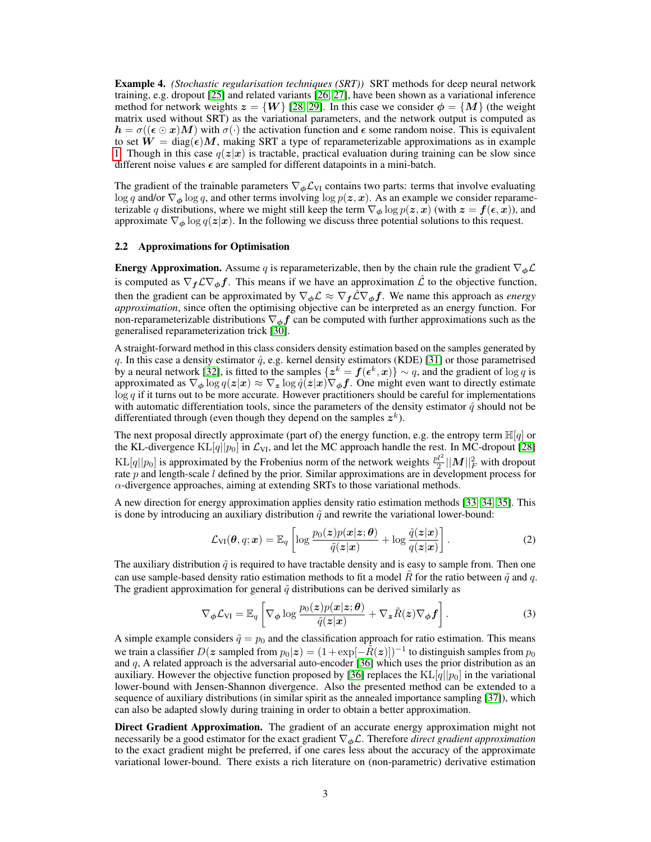Example 4. *(Stochastic regularisation techniques (SRT))* SRT methods for deep neural network training, e.g. dropout [\[25\]](#page-4-21) and related variants [\[26,](#page-4-22) [27\]](#page-4-23), have been shown as a variational inference method for network weights  $z = \{W\}$  [\[28,](#page-4-24) [29\]](#page-4-25). In this case we consider  $\phi = \{M\}$  (the weight matrix used without SRT) as the variational parameters, and the network output is computed as  $h = \sigma((\epsilon \odot x)M)$  with  $\sigma(\cdot)$  the activation function and  $\epsilon$  some random noise. This is equivalent to set  $W = \text{diag}(\epsilon)M$ , making SRT a type of reparameterizable approximations as in example [1.](#page-1-0) Though in this case  $q(z|x)$  is tractable, practical evaluation during training can be slow since different noise values  $\epsilon$  are sampled for different datapoints in a mini-batch.

The gradient of the trainable parameters  $\nabla_{\phi} \mathcal{L}_{VI}$  contains two parts: terms that involve evaluating log q and/or  $\nabla_{\phi}$  log q, and other terms involving log  $p(z, x)$ . As an example we consider reparameterizable q distributions, where we might still keep the term  $\nabla_{\phi} \log p(z, x)$  (with  $z = f(\epsilon, x)$ ), and approximate  $\nabla_{\phi} \log q(z|x)$ . In the following we discuss three potential solutions to this request.

#### 2.2 Approximations for Optimisation

**Energy Approximation.** Assume q is reparameterizable, then by the chain rule the gradient  $\nabla_{\phi} \mathcal{L}$ is computed as  $\nabla_f \mathcal{L} \nabla_\phi f$ . This means if we have an approximation  $\hat{\mathcal{L}}$  to the objective function, then the gradient can be approximated by  $\nabla_{\phi} \mathcal{L} \approx \nabla_{f} \mathcal{L} \nabla_{\phi} f$ . We name this approach as *energy approximation*, since often the optimising objective can be interpreted as an energy function. For non-reparameterizable distributions  $\nabla_{\phi} f$  can be computed with further approximations such as the generalised reparameterization trick [\[30\]](#page-5-0).

A straight-forward method in this class considers density estimation based on the samples generated by q. In this case a density estimator  $\hat{q}$ , e.g. kernel density estimators (KDE) [\[31\]](#page-5-1) or those parametrised by a neural network [\[32\]](#page-5-2), is fitted to the samples  $\{z^k = f(\epsilon^k, x)\}\sim q$ , and the gradient of  $\log q$  is approximated as  $\nabla_{\phi} \log q(z|x) \approx \nabla_{z} \log \hat{q}(z|x) \nabla_{\phi} f$ . One might even want to directly estimate  $\log q$  if it turns out to be more accurate. However practitioners should be careful for implementations with automatic differentiation tools, since the parameters of the density estimator  $\hat{q}$  should not be differentiated through (even though they depend on the samples  $z^k$ ).

The next proposal directly approximate (part of) the energy function, e.g. the entropy term  $\mathbb{H}[q]$  or the KL-divergence  $KL[q||p_0]$  in  $\mathcal{L}_{VI}$ , and let the MC approach handle the rest. In MC-dropout [\[28\]](#page-4-24) KL[q||p<sub>0</sub>] is approximated by the Frobenius norm of the network weights  $\frac{pl^2}{2}||M||_F^2$  with dropout rate p and length-scale l defined by the prior. Similar approximations are in development process for  $\alpha$ -divergence approaches, aiming at extending SRTs to those variational methods.

A new direction for energy approximation applies density ratio estimation methods [\[33,](#page-5-3) [34,](#page-5-4) [35\]](#page-5-5). This is done by introducing an auxiliary distribution  $\tilde{q}$  and rewrite the variational lower-bound:

$$
\mathcal{L}_{VI}(\boldsymbol{\theta}, q; \boldsymbol{x}) = \mathbb{E}_q \left[ \log \frac{p_0(\boldsymbol{z}) p(\boldsymbol{x} | \boldsymbol{z}; \boldsymbol{\theta})}{\tilde{q}(\boldsymbol{z} | \boldsymbol{x})} + \log \frac{\tilde{q}(\boldsymbol{z} | \boldsymbol{x})}{q(\boldsymbol{z} | \boldsymbol{x})} \right]. \tag{2}
$$

The auxiliary distribution  $\tilde{q}$  is required to have tractable density and is easy to sample from. Then one can use sample-based density ratio estimation methods to fit a model  $\hat{R}$  for the ratio between  $\tilde{q}$  and q. The gradient approximation for general  $\tilde{q}$  distributions can be derived similarly as

$$
\nabla_{\boldsymbol{\phi}} \mathcal{L}_{\text{VI}} = \mathbb{E}_{q} \left[ \nabla_{\boldsymbol{\phi}} \log \frac{p_0(\boldsymbol{z}) p(\boldsymbol{x}|\boldsymbol{z}; \boldsymbol{\theta})}{\tilde{q}(\boldsymbol{z}|\boldsymbol{x})} + \nabla_{\boldsymbol{z}} \tilde{R}(\boldsymbol{z}) \nabla_{\boldsymbol{\phi}} \boldsymbol{f} \right]. \tag{3}
$$

A simple example considers  $\tilde{q} = p_0$  and the classification approach for ratio estimation. This means we train a classifier  $D(z$  sampled from  $p_0|z) = (1 + \exp[-\tilde{R}(z)])^{-1}$  to distinguish samples from  $p_0$ and  $q$ , A related approach is the adversarial auto-encoder [\[36\]](#page-5-6) which uses the prior distribution as an auxiliary. However the objective function proposed by [\[36\]](#page-5-6) replaces the  $KL[q||p_0]$  in the variational lower-bound with Jensen-Shannon divergence. Also the presented method can be extended to a sequence of auxiliary distributions (in similar spirit as the annealed importance sampling [\[37\]](#page-5-7)), which can also be adapted slowly during training in order to obtain a better approximation.

Direct Gradient Approximation. The gradient of an accurate energy approximation might not necessarily be a good estimator for the exact gradient ∇φL. Therefore *direct gradient approximation* to the exact gradient might be preferred, if one cares less about the accuracy of the approximate variational lower-bound. There exists a rich literature on (non-parametric) derivative estimation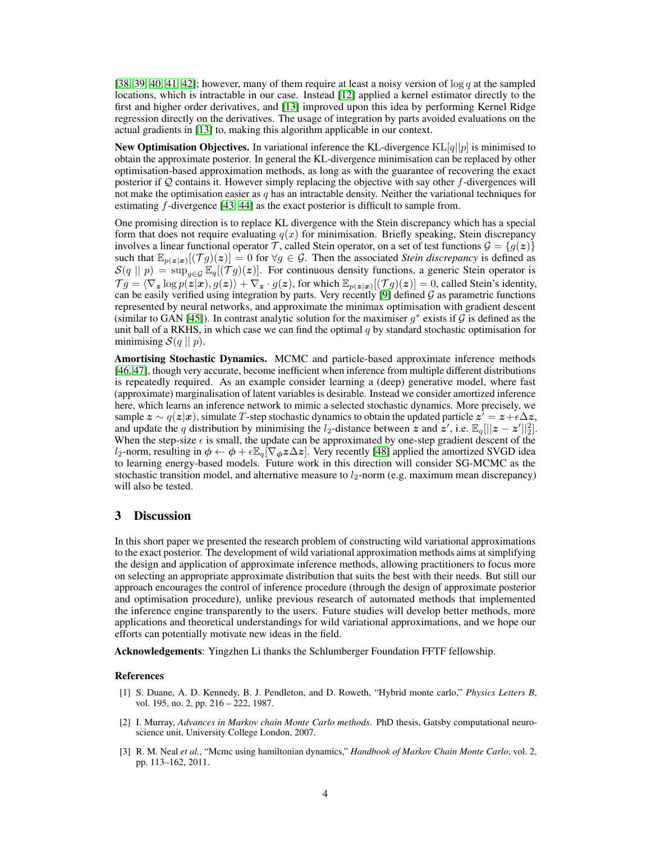[\[38,](#page-5-8) [39,](#page-5-9) [40,](#page-5-10) [41,](#page-5-11) [42\]](#page-5-12); however, many of them require at least a noisy version of  $\log q$  at the sampled locations, which is intractable in our case. Instead [\[12\]](#page-4-8) applied a kernel estimator directly to the first and higher order derivatives, and [\[13\]](#page-4-9) improved upon this idea by performing Kernel Ridge regression directly on the derivatives. The usage of integration by parts avoided evaluations on the actual gradients in [\[13\]](#page-4-9) to, making this algorithm applicable in our context.

New Optimisation Objectives. In variational inference the KL-divergence  $KL[q||p]$  is minimised to obtain the approximate posterior. In general the KL-divergence minimisation can be replaced by other optimisation-based approximation methods, as long as with the guarantee of recovering the exact posterior if Q contains it. However simply replacing the objective with say other f-divergences will not make the optimisation easier as  $q$  has an intractable density. Neither the variational techniques for estimating f-divergence [\[43,](#page-5-13) [44\]](#page-5-14) as the exact posterior is difficult to sample from.

One promising direction is to replace KL divergence with the Stein discrepancy which has a special form that does not require evaluating  $q(x)$  for minimisation. Briefly speaking, Stein discrepancy involves a linear functional operator T, called Stein operator, on a set of test functions  $\mathcal{G} = \{g(z)\}\$ such that  $\mathbb{E}_{p(z|x)}[(\mathcal{T}g)(z)] = 0$  for  $\forall g \in \mathcal{G}$ . Then the associated *Stein discrepancy* is defined as  $\mathcal{S}(q || p) = \sup_{q \in \mathcal{G}} \mathbb{E}_q[(\mathcal{T} g)(z)].$  For continuous density functions, a generic Stein operator is  $\mathcal{T}g=\langle \nabla_{\bm{z}} \log p(\bm{z}|\bm{x}), g(\bm{z})\rangle+\nabla_{\bm{z}}\cdot g(\bm{z}),$  for which  $\mathbb{E}_{p(\bm{z}|\bm{x})}[(\mathcal{T}g)(\bm{z})]=0$ , called Stein's identity, can be easily verified using integration by parts. Very recently [\[9\]](#page-4-5) defined  $\mathcal G$  as parametric functions represented by neural networks, and approximate the minimax optimisation with gradient descent (similar to GAN [\[45\]](#page-5-15)). In contrast analytic solution for the maximiser  $g^*$  exists if  $\mathcal G$  is defined as the unit ball of a RKHS, in which case we can find the optimal  $q$  by standard stochastic optimisation for minimising  $\mathcal{S}(q \mid p)$ .

Amortising Stochastic Dynamics. MCMC and particle-based approximate inference methods [\[46,](#page-5-16) [47\]](#page-5-17), though very accurate, become inefficient when inference from multiple different distributions is repeatedly required. As an example consider learning a (deep) generative model, where fast (approximate) marginalisation of latent variables is desirable. Instead we consider amortized inference here, which learns an inference network to mimic a selected stochastic dynamics. More precisely, we sample  $z \sim q(z|x)$ , simulate T-step stochastic dynamics to obtain the updated particle  $z^7 = z + \epsilon \Delta z$ , and update the q distribution by minimising the  $l_2$ -distance between  $\boldsymbol{z}$  and  $\boldsymbol{z}'$ , i.e.  $\mathbb{E}_q[||\boldsymbol{z}-\boldsymbol{z}'||_2^2]$ . When the step-size  $\epsilon$  is small, the update can be approximated by one-step gradient descent of the l<sub>2</sub>-norm, resulting in  $\phi \leftarrow \phi + \epsilon \mathbb{E}_q[\nabla_{\phi} z \Delta z]$ . Very recently [\[48\]](#page-5-18) applied the amortized SVGD idea to learning energy-based models. Future work in this direction will consider SG-MCMC as the stochastic transition model, and alternative measure to  $l_2$ -norm (e.g. maximum mean discrepancy) will also be tested.

### 3 Discussion

In this short paper we presented the research problem of constructing wild variational approximations to the exact posterior. The development of wild variational approximation methods aims at simplifying the design and application of approximate inference methods, allowing practitioners to focus more on selecting an appropriate approximate distribution that suits the best with their needs. But still our approach encourages the control of inference procedure (through the design of approximate posterior and optimisation procedure), unlike previous research of automated methods that implemented the inference engine transparently to the users. Future studies will develop better methods, more applications and theoretical understandings for wild variational approximations, and we hope our efforts can potentially motivate new ideas in the field.

Acknowledgements: Yingzhen Li thanks the Schlumberger Foundation FFTF fellowship.

#### References

- <span id="page-3-0"></span>[1] S. Duane, A. D. Kennedy, B. J. Pendleton, and D. Roweth, "Hybrid monte carlo," *Physics Letters B*, vol. 195, no. 2, pp. 216 – 222, 1987.
- <span id="page-3-1"></span>[2] I. Murray, *Advances in Markov chain Monte Carlo methods*. PhD thesis, Gatsby computational neuroscience unit, University College London, 2007.
- <span id="page-3-2"></span>[3] R. M. Neal *et al.*, "Mcmc using hamiltonian dynamics," *Handbook of Markov Chain Monte Carlo*, vol. 2, pp. 113–162, 2011.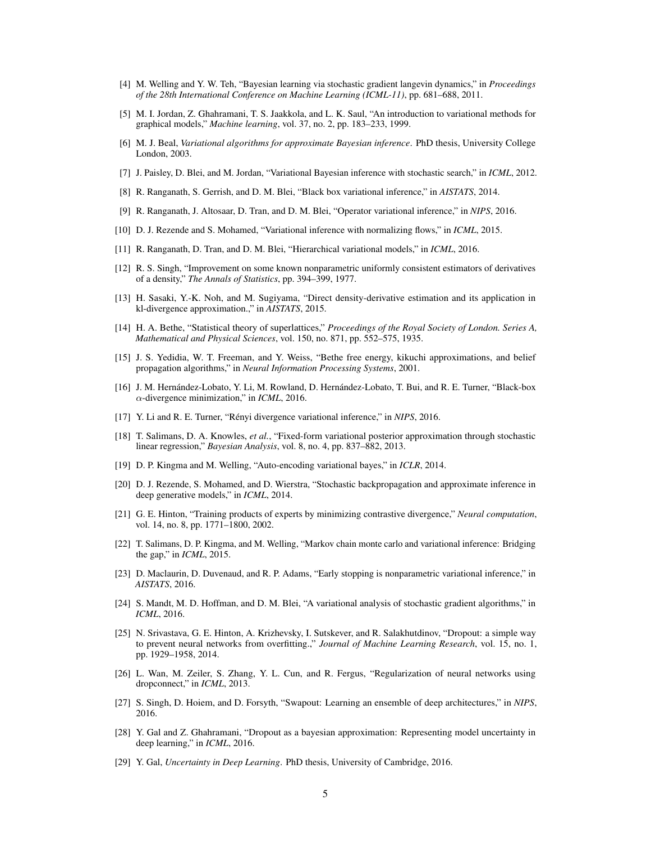- <span id="page-4-0"></span>[4] M. Welling and Y. W. Teh, "Bayesian learning via stochastic gradient langevin dynamics," in *Proceedings of the 28th International Conference on Machine Learning (ICML-11)*, pp. 681–688, 2011.
- <span id="page-4-1"></span>[5] M. I. Jordan, Z. Ghahramani, T. S. Jaakkola, and L. K. Saul, "An introduction to variational methods for graphical models," *Machine learning*, vol. 37, no. 2, pp. 183–233, 1999.
- <span id="page-4-2"></span>[6] M. J. Beal, *Variational algorithms for approximate Bayesian inference*. PhD thesis, University College London, 2003.
- <span id="page-4-3"></span>[7] J. Paisley, D. Blei, and M. Jordan, "Variational Bayesian inference with stochastic search," in *ICML*, 2012.
- <span id="page-4-4"></span>[8] R. Ranganath, S. Gerrish, and D. M. Blei, "Black box variational inference," in *AISTATS*, 2014.
- <span id="page-4-5"></span>[9] R. Ranganath, J. Altosaar, D. Tran, and D. M. Blei, "Operator variational inference," in *NIPS*, 2016.
- <span id="page-4-6"></span>[10] D. J. Rezende and S. Mohamed, "Variational inference with normalizing flows," in *ICML*, 2015.
- <span id="page-4-7"></span>[11] R. Ranganath, D. Tran, and D. M. Blei, "Hierarchical variational models," in *ICML*, 2016.
- <span id="page-4-8"></span>[12] R. S. Singh, "Improvement on some known nonparametric uniformly consistent estimators of derivatives of a density," *The Annals of Statistics*, pp. 394–399, 1977.
- <span id="page-4-9"></span>[13] H. Sasaki, Y.-K. Noh, and M. Sugiyama, "Direct density-derivative estimation and its application in kl-divergence approximation.," in *AISTATS*, 2015.
- <span id="page-4-10"></span>[14] H. A. Bethe, "Statistical theory of superlattices," *Proceedings of the Royal Society of London. Series A, Mathematical and Physical Sciences*, vol. 150, no. 871, pp. 552–575, 1935.
- <span id="page-4-11"></span>[15] J. S. Yedidia, W. T. Freeman, and Y. Weiss, "Bethe free energy, kikuchi approximations, and belief propagation algorithms," in *Neural Information Processing Systems*, 2001.
- <span id="page-4-12"></span>[16] J. M. Hernández-Lobato, Y. Li, M. Rowland, D. Hernández-Lobato, T. Bui, and R. E. Turner, "Black-box α-divergence minimization," in *ICML*, 2016.
- <span id="page-4-13"></span>[17] Y. Li and R. E. Turner, "Rényi divergence variational inference," in *NIPS*, 2016.
- <span id="page-4-14"></span>[18] T. Salimans, D. A. Knowles, *et al.*, "Fixed-form variational posterior approximation through stochastic linear regression," *Bayesian Analysis*, vol. 8, no. 4, pp. 837–882, 2013.
- <span id="page-4-15"></span>[19] D. P. Kingma and M. Welling, "Auto-encoding variational bayes," in *ICLR*, 2014.
- <span id="page-4-16"></span>[20] D. J. Rezende, S. Mohamed, and D. Wierstra, "Stochastic backpropagation and approximate inference in deep generative models," in *ICML*, 2014.
- <span id="page-4-17"></span>[21] G. E. Hinton, "Training products of experts by minimizing contrastive divergence," *Neural computation*, vol. 14, no. 8, pp. 1771–1800, 2002.
- <span id="page-4-18"></span>[22] T. Salimans, D. P. Kingma, and M. Welling, "Markov chain monte carlo and variational inference: Bridging the gap," in *ICML*, 2015.
- <span id="page-4-19"></span>[23] D. Maclaurin, D. Duvenaud, and R. P. Adams, "Early stopping is nonparametric variational inference," in *AISTATS*, 2016.
- <span id="page-4-20"></span>[24] S. Mandt, M. D. Hoffman, and D. M. Blei, "A variational analysis of stochastic gradient algorithms," in *ICML*, 2016.
- <span id="page-4-21"></span>[25] N. Srivastava, G. E. Hinton, A. Krizhevsky, I. Sutskever, and R. Salakhutdinov, "Dropout: a simple way to prevent neural networks from overfitting.," *Journal of Machine Learning Research*, vol. 15, no. 1, pp. 1929–1958, 2014.
- <span id="page-4-22"></span>[26] L. Wan, M. Zeiler, S. Zhang, Y. L. Cun, and R. Fergus, "Regularization of neural networks using dropconnect," in *ICML*, 2013.
- <span id="page-4-23"></span>[27] S. Singh, D. Hoiem, and D. Forsyth, "Swapout: Learning an ensemble of deep architectures," in *NIPS*, 2016.
- <span id="page-4-24"></span>[28] Y. Gal and Z. Ghahramani, "Dropout as a bayesian approximation: Representing model uncertainty in deep learning," in *ICML*, 2016.
- <span id="page-4-25"></span>[29] Y. Gal, *Uncertainty in Deep Learning*. PhD thesis, University of Cambridge, 2016.